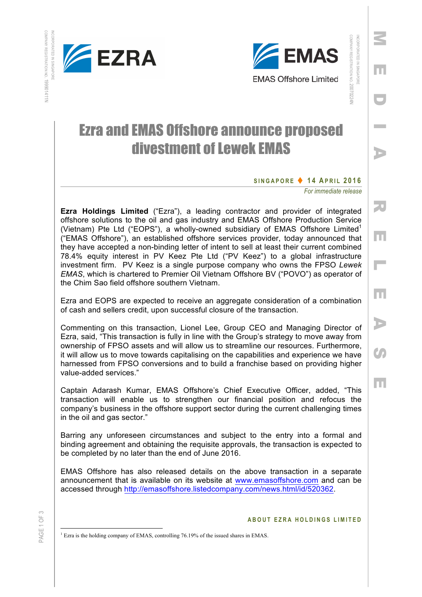





# INCORPORATED IN SINGAPORE INCORPORATED IN SINGAPORE

Z

m

**Contract** 

COMPANY REGISTRATION

COMPANY REGISTRATION NO. 20070224N

20070224N

MEDIA RELEASE

Iпп

Н

m

D

 $\boldsymbol{G}$ 

la n

50

## Ezra and EMAS Offshore announce proposed divestment of Lewek EMAS

### **SINGAPORE** t **1 4 A PRIL 201 6**

*For immediate release* 

**Ezra Holdings Limited** ("Ezra"), a leading contractor and provider of integrated offshore solutions to the oil and gas industry and EMAS Offshore Production Service (Vietnam) Pte Ltd ("EOPS"), a wholly-owned subsidiary of EMAS Offshore Limited<sup>1</sup> ("EMAS Offshore"), an established offshore services provider, today announced that they have accepted a non-binding letter of intent to sell at least their current combined 78.4% equity interest in PV Keez Pte Ltd ("PV Keez") to a global infrastructure investment firm. PV Keez is a single purpose company who owns the FPSO *Lewek EMAS*, which is chartered to Premier Oil Vietnam Offshore BV ("POVO") as operator of the Chim Sao field offshore southern Vietnam.

Ezra and EOPS are expected to receive an aggregate consideration of a combination of cash and sellers credit, upon successful closure of the transaction.

Commenting on this transaction, Lionel Lee, Group CEO and Managing Director of Ezra, said, "This transaction is fully in line with the Group's strategy to move away from ownership of FPSO assets and will allow us to streamline our resources. Furthermore, it will allow us to move towards capitalising on the capabilities and experience we have harnessed from FPSO conversions and to build a franchise based on providing higher value-added services."

Captain Adarash Kumar, EMAS Offshore's Chief Executive Officer, added, "This transaction will enable us to strengthen our financial position and refocus the company's business in the offshore support sector during the current challenging times in the oil and gas sector."

Barring any unforeseen circumstances and subject to the entry into a formal and binding agreement and obtaining the requisite approvals, the transaction is expected to be completed by no later than the end of June 2016.

EMAS Offshore has also released details on the above transaction in a separate announcement that is available on its website at www.emasoffshore.com and can be accessed through http://emasoffshore.listedcompany.com/news.html/id/520362.

#### **ABOUT EZRA HOLDINGS LIMITE D**

 $<sup>1</sup>$  Ezra is the holding company of EMAS, controlling 76.19% of the issued shares in EMAS.</sup>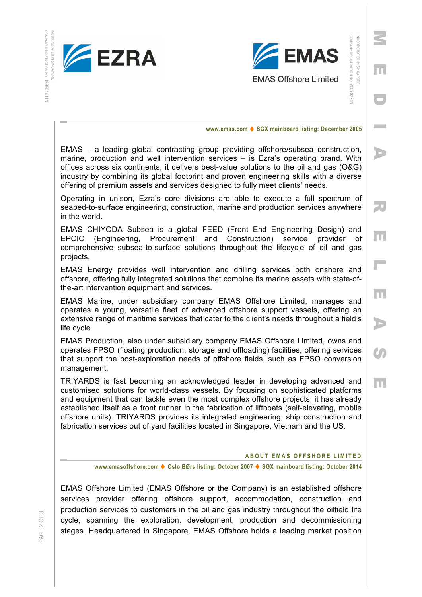

COMPANY

REGISTRATION NO.

COMPANY REGISTRATION NO. 199901411N

199901411N



Z

m

**Contract** 

D

MEDIA RELEASE

m

Н

m

D

 $\mathcal{C}_{\mathcal{P}}$ 

m

50

**www.emas.com ♦ SGX mainboard listing: December 2005** 

EMAS – a leading global contracting group providing offshore/subsea construction, marine, production and well intervention services – is Ezra's operating brand. With offices across six continents, it delivers best-value solutions to the oil and gas (O&G) industry by combining its global footprint and proven engineering skills with a diverse offering of premium assets and services designed to fully meet clients' needs.

Operating in unison, Ezra's core divisions are able to execute a full spectrum of seabed-to-surface engineering, construction, marine and production services anywhere in the world.

EMAS CHIYODA Subsea is a global FEED (Front End Engineering Design) and EPCIC (Engineering, Procurement and Construction) service provider of comprehensive subsea-to-surface solutions throughout the lifecycle of oil and gas projects.

EMAS Energy provides well intervention and drilling services both onshore and offshore, offering fully integrated solutions that combine its marine assets with state-ofthe-art intervention equipment and services.

EMAS Marine, under subsidiary company EMAS Offshore Limited, manages and operates a young, versatile fleet of advanced offshore support vessels, offering an extensive range of maritime services that cater to the client's needs throughout a field's life cycle.

EMAS Production, also under subsidiary company EMAS Offshore Limited, owns and operates FPSO (floating production, storage and offloading) facilities, offering services that support the post-exploration needs of offshore fields, such as FPSO conversion management.

TRIYARDS is fast becoming an acknowledged leader in developing advanced and customised solutions for world-class vessels. By focusing on sophisticated platforms and equipment that can tackle even the most complex offshore projects, it has already established itself as a front runner in the fabrication of liftboats (self-elevating, mobile offshore units). TRIYARDS provides its integrated engineering, ship construction and fabrication services out of yard facilities located in Singapore, Vietnam and the US.

#### **ABOUT EMAS OFFSHORE LIMITE D**

**www.emasoffshore.com ♦ Oslo BØrs listing: October 2007 ♦ SGX mainboard listing: October 2014** 

EMAS Offshore Limited (EMAS Offshore or the Company) is an established offshore services provider offering offshore support, accommodation, construction and production services to customers in the oil and gas industry throughout the oilfield life cycle, spanning the exploration, development, production and decommissioning stages. Headquartered in Singapore, EMAS Offshore holds a leading market position